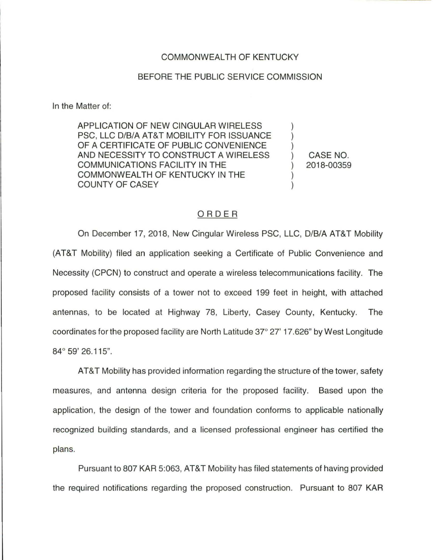## COMMONWEALTH OF KENTUCKY

## BEFORE THE PUBLIC SERVICE COMMISSION

In the Matter of:

APPLICATION OF NEW CINGULAR WIRELESS PSC, LLC D/B/A AT&T MOBILITY FOR ISSUANCE OF A CERTIFICATE OF PUBLIC CONVENIENCE AND NECESSITY TO CONSTRUCT A WIRELESS COMMUNICATIONS FACILITY IN THE COMMONWEALTH OF KENTUCKY IN THE COUNTY OF CASEY

CASE NO. 2018-00359

## ORDER

On December 17, 2018, New Cingular Wireless PSC, LLC, D/B/A AT&T Mobility (AT&T Mobility) filed an application seeking a Certificate of Public Convenience and Necessity (CPCN) to construct and operate a wireless telecommunications facility. The proposed facility consists of a tower not to exceed 199 feet in height, with attached antennas, to be located at Highway 78, Liberty, Casey County, Kentucky. The coordinates for the proposed facility are North Latitude 37° 27' 17.626" by West Longitude 84° 59' 26.115".

AT&T Mobility has provided information regarding the structure of the tower, safety measures, and antenna design criteria for the proposed facility. Based upon the application, the design of the tower and foundation conforms to applicable nationally recognized building standards, and a licensed professional engineer has certified the plans.

Pursuant to 807 KAR 5:063, AT&T Mobility has filed statements of having provided the required notifications regarding the proposed construction. Pursuant to 807 KAR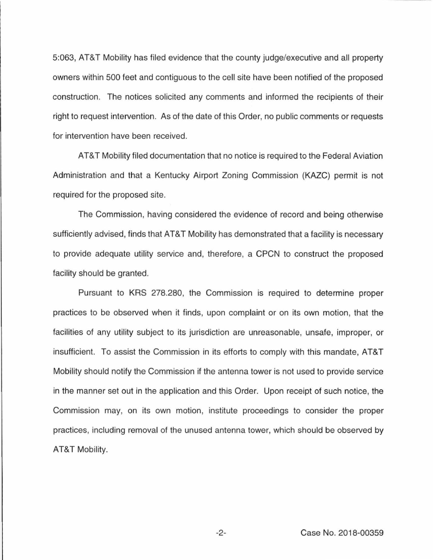5:063, AT&T Mobility has filed evidence that the county judge/executive and all property owners within 500 feet and contiguous to the cell site have been notified of the proposed construction. The notices solicited any comments and informed the recipients of their right to request intervention. As of the date of this Order, no public comments or requests for intervention have been received.

AT&T Mobility filed documentation that no notice is required to the Federal Aviation Administration and that a Kentucky Airport Zoning Commission (KAZC) permit is not required for the proposed site.

The Commission, having considered the evidence of record and being otherwise sufficiently advised, finds that AT&T Mobility has demonstrated that a facility is necessary to provide adequate utility service and, therefore, a CPCN to construct the proposed facility should be granted.

Pursuant to KRS 278.280, the Commission is required to determine proper practices to be observed when it finds, upon complaint or on its own motion, that the facilities of any utility subject to its jurisdiction are unreasonable, unsafe, improper, or insufficient. To assist the Commission in its efforts to comply with this mandate, AT&T Mobility should notify the Commission if the antenna tower is not used to provide service in the manner set out in the application and this Order. Upon receipt of such notice, the Commission may, on its own motion, institute proceedings to consider the proper practices, including removal of the unused antenna tower, which should be observed by AT&T Mobility.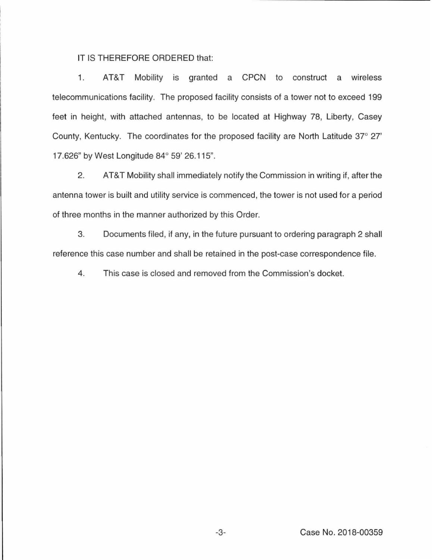## IT IS THEREFORE ORDERED that:

1. AT&T Mobility is granted a CPCN to construct a wireless telecommunications facility. The proposed facility consists of a tower not to exceed 199 feet in height, with attached antennas, to be located at Highway 78, Liberty, Casey County, Kentucky. The coordinates for the proposed facility are North Latitude 37° 27' 17.626" by West Longitude 84° 59' 26.115".

2. AT&T Mobility shall immediately notify the Commission in writing if, after the antenna tower is built and utility service is commenced, the tower is not used for a period of three months in the manner authorized by this Order.

3. Documents filed, if any, in the future pursuant to ordering paragraph 2 shall reference this case number and shall be retained in the post-case correspondence file.

4. This case is closed and removed from the Commission's docket.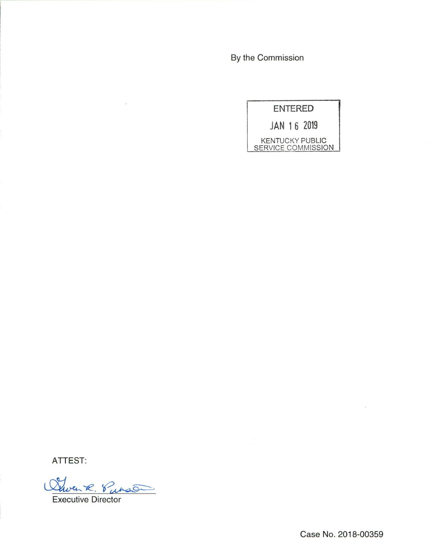By the Commission

ENTERED JAN 1 6 2019

KENTUCKY PUBLIC SERVICE COMMISSION

ATTEST:

Quen R. Purson

ö

Executive Director